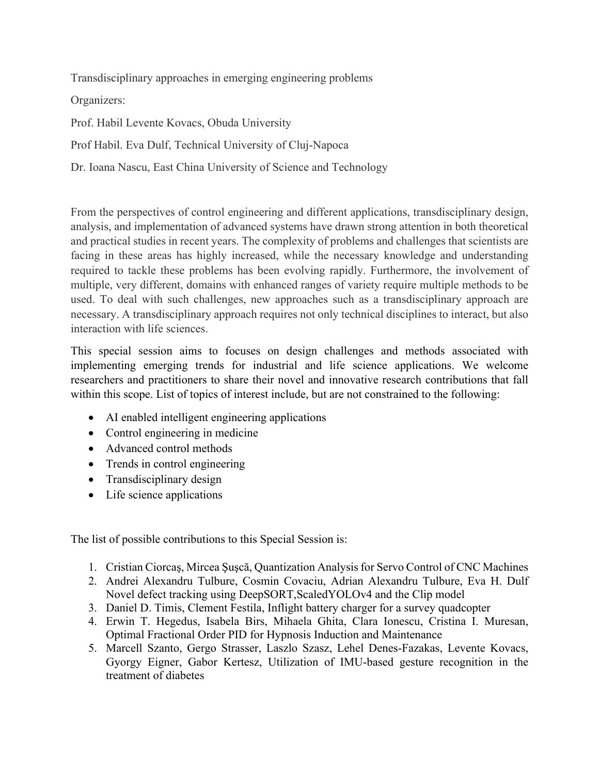Transdisciplinary approaches in emerging engineering problems

Organizers:

Prof. Habil Levente Kovacs, Obuda University

Prof Habil. Eva Dulf, Technical University of Cluj-Napoca

Dr. Ioana Nascu, East China University of Science and Technology

From the perspectives of control engineering and different applications, transdisciplinary design, analysis, and implementation of advanced systems have drawn strong attention in both theoretical and practical studies in recent years. The complexity of problems and challenges that scientists are facing in these areas has highly increased, while the necessary knowledge and understanding required to tackle these problems has been evolving rapidly. Furthermore, the involvement of multiple, very different, domains with enhanced ranges of variety require multiple methods to be used. To deal with such challenges, new approaches such as a transdisciplinary approach are necessary. A transdisciplinary approach requires not only technical disciplines to interact, but also interaction with life sciences.

This special session aims to focuses on design challenges and methods associated with implementing emerging trends for industrial and life science applications. We welcome researchers and practitioners to share their novel and innovative research contributions that fall within this scope. List of topics of interest include, but are not constrained to the following:

- AI enabled intelligent engineering applications
- Control engineering in medicine
- Advanced control methods
- Trends in control engineering
- Transdisciplinary design
- Life science applications

The list of possible contributions to this Special Session is:

- 1. Cristian Ciorcaş, Mircea Şuşcă, Quantization Analysis for Servo Control of CNC Machines
- 2. Andrei Alexandru Tulbure, Cosmin Covaciu, Adrian Alexandru Tulbure, Eva H. Dulf Novel defect tracking using DeepSORT,ScaledYOLOv4 and the Clip model
- 3. Daniel D. Timis, Clement Festila, Inflight battery charger for a survey quadcopter
- 4. Erwin T. Hegedus, Isabela Birs, Mihaela Ghita, Clara Ionescu, Cristina I. Muresan, Optimal Fractional Order PID for Hypnosis Induction and Maintenance
- 5. Marcell Szanto, Gergo Strasser, Laszlo Szasz, Lehel Denes-Fazakas, Levente Kovacs, Gyorgy Eigner, Gabor Kertesz, Utilization of IMU-based gesture recognition in the treatment of diabetes